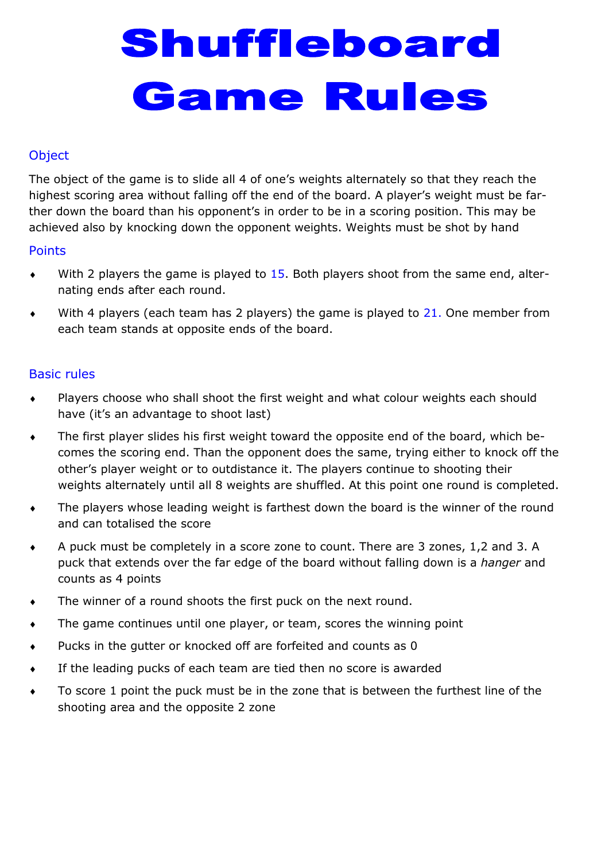# Shuffleboard **Game Rules**

## **Object**

The object of the game is to slide all 4 of one's weights alternately so that they reach the highest scoring area without falling off the end of the board. A player's weight must be farther down the board than his opponent's in order to be in a scoring position. This may be achieved also by knocking down the opponent weights. Weights must be shot by hand

#### **Points**

- $\bullet$  With 2 players the game is played to 15. Both players shoot from the same end, alternating ends after each round.
- $\bullet$  With 4 players (each team has 2 players) the game is played to 21. One member from each team stands at opposite ends of the board.

### Basic rules

- Players choose who shall shoot the first weight and what colour weights each should have (it's an advantage to shoot last)
- The first player slides his first weight toward the opposite end of the board, which becomes the scoring end. Than the opponent does the same, trying either to knock off the other's player weight or to outdistance it. The players continue to shooting their weights alternately until all 8 weights are shuffled. At this point one round is completed.
- The players whose leading weight is farthest down the board is the winner of the round and can totalised the score
- A puck must be completely in a score zone to count. There are 3 zones, 1,2 and 3. A puck that extends over the far edge of the board without falling down is a *hanger* and counts as 4 points
- The winner of a round shoots the first puck on the next round.
- The game continues until one player, or team, scores the winning point
- Pucks in the gutter or knocked off are forfeited and counts as 0
- If the leading pucks of each team are tied then no score is awarded
- To score 1 point the puck must be in the zone that is between the furthest line of the shooting area and the opposite 2 zone